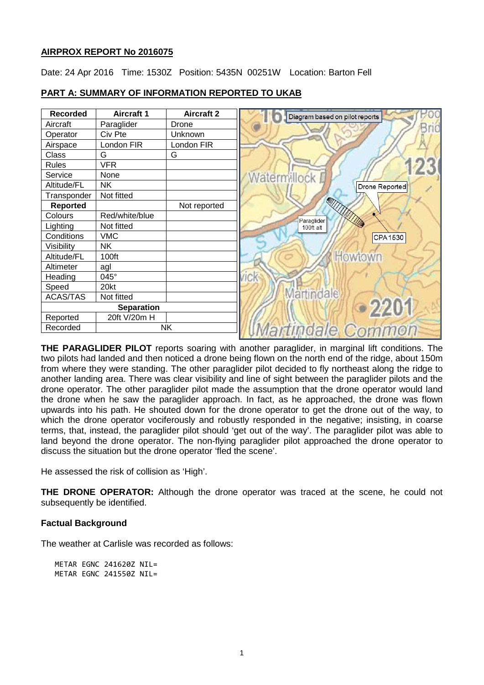# **AIRPROX REPORT No 2016075**

Date: 24 Apr 2016 Time: 1530Z Position: 5435N 00251W Location: Barton Fell



### **PART A: SUMMARY OF INFORMATION REPORTED TO UKAB**

**THE PARAGLIDER PILOT** reports soaring with another paraglider, in marginal lift conditions. The two pilots had landed and then noticed a drone being flown on the north end of the ridge, about 150m from where they were standing. The other paraglider pilot decided to fly northeast along the ridge to another landing area. There was clear visibility and line of sight between the paraglider pilots and the drone operator. The other paraglider pilot made the assumption that the drone operator would land the drone when he saw the paraglider approach. In fact, as he approached, the drone was flown upwards into his path. He shouted down for the drone operator to get the drone out of the way, to which the drone operator vociferously and robustly responded in the negative; insisting, in coarse terms, that, instead, the paraglider pilot should 'get out of the way'. The paraglider pilot was able to land beyond the drone operator. The non-flying paraglider pilot approached the drone operator to discuss the situation but the drone operator 'fled the scene'.

He assessed the risk of collision as 'High'.

**THE DRONE OPERATOR:** Although the drone operator was traced at the scene, he could not subsequently be identified.

#### **Factual Background**

The weather at Carlisle was recorded as follows:

METAR EGNC 241620Z NIL= METAR EGNC 241550Z NIL=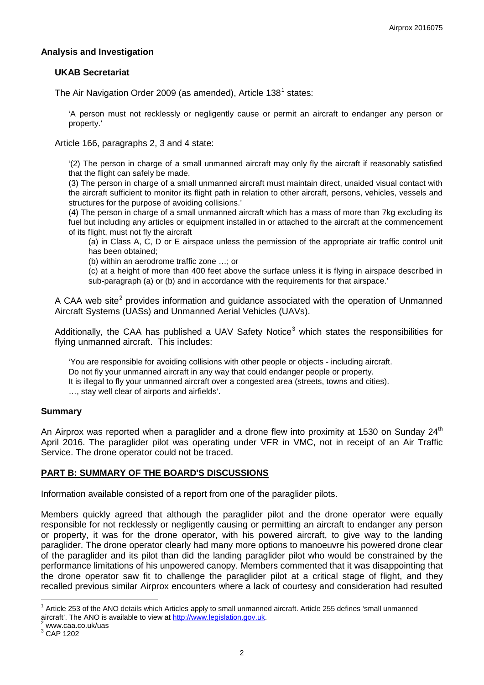### **Analysis and Investigation**

### **UKAB Secretariat**

The Air Navigation Order 2009 (as amended), Article  $138^1$  $138^1$  states:

'A person must not recklessly or negligently cause or permit an aircraft to endanger any person or property.'

Article 166, paragraphs 2, 3 and 4 state:

'(2) The person in charge of a small unmanned aircraft may only fly the aircraft if reasonably satisfied that the flight can safely be made.

(3) The person in charge of a small unmanned aircraft must maintain direct, unaided visual contact with the aircraft sufficient to monitor its flight path in relation to other aircraft, persons, vehicles, vessels and structures for the purpose of avoiding collisions.'

(4) The person in charge of a small unmanned aircraft which has a mass of more than 7kg excluding its fuel but including any articles or equipment installed in or attached to the aircraft at the commencement of its flight, must not fly the aircraft

(a) in Class A, C, D or E airspace unless the permission of the appropriate air traffic control unit has been obtained;

(b) within an aerodrome traffic zone …; or

(c) at a height of more than 400 feet above the surface unless it is flying in airspace described in sub-paragraph (a) or (b) and in accordance with the requirements for that airspace.'

A CAA web site<sup>[2](#page-1-1)</sup> provides information and quidance associated with the operation of Unmanned Aircraft Systems (UASs) and Unmanned Aerial Vehicles (UAVs).

Additionally, the CAA has published a UAV Safety Notice<sup>[3](#page-1-2)</sup> which states the responsibilities for flying unmanned aircraft. This includes:

'You are responsible for avoiding collisions with other people or objects - including aircraft. Do not fly your unmanned aircraft in any way that could endanger people or property. It is illegal to fly your unmanned aircraft over a congested area (streets, towns and cities). …, stay well clear of airports and airfields'.

#### **Summary**

An Airprox was reported when a paraglider and a drone flew into proximity at 1530 on Sunday  $24<sup>th</sup>$ April 2016. The paraglider pilot was operating under VFR in VMC, not in receipt of an Air Traffic Service. The drone operator could not be traced.

# **PART B: SUMMARY OF THE BOARD'S DISCUSSIONS**

Information available consisted of a report from one of the paraglider pilots.

Members quickly agreed that although the paraglider pilot and the drone operator were equally responsible for not recklessly or negligently causing or permitting an aircraft to endanger any person or property, it was for the drone operator, with his powered aircraft, to give way to the landing paraglider. The drone operator clearly had many more options to manoeuvre his powered drone clear of the paraglider and its pilot than did the landing paraglider pilot who would be constrained by the performance limitations of his unpowered canopy. Members commented that it was disappointing that the drone operator saw fit to challenge the paraglider pilot at a critical stage of flight, and they recalled previous similar Airprox encounters where a lack of courtesy and consideration had resulted

<span id="page-1-0"></span> $1$  Article 253 of the ANO details which Articles apply to small unmanned aircraft. Article 255 defines 'small unmanned aircraft'. The ANO is available to view at [http://www.legislation.gov.uk.](http://www.legislation.gov.uk/)<sup>2</sup> www.caa.co.uk/uas 3 CAP 1202

<span id="page-1-1"></span>

<span id="page-1-2"></span>